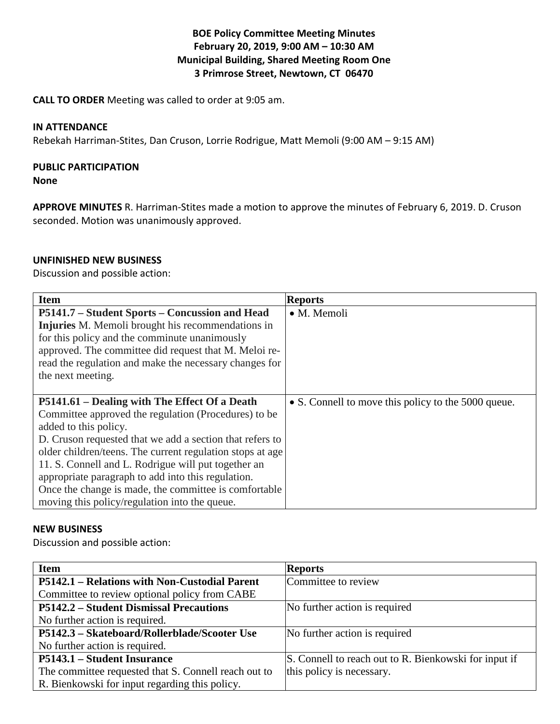## **BOE Policy Committee Meeting Minutes February 20, 2019, 9:00 AM – 10:30 AM Municipal Building, Shared Meeting Room One 3 Primrose Street, Newtown, CT 06470**

**CALL TO ORDER** Meeting was called to order at 9:05 am.

#### **IN ATTENDANCE**

Rebekah Harriman-Stites, Dan Cruson, Lorrie Rodrigue, Matt Memoli (9:00 AM – 9:15 AM)

## **PUBLIC PARTICIPATION**

**None**

**APPROVE MINUTES** R. Harriman-Stites made a motion to approve the minutes of February 6, 2019. D. Cruson seconded. Motion was unanimously approved.

#### **UNFINISHED NEW BUSINESS**

Discussion and possible action:

| <b>Item</b>                                                                                                                                                                                                                                                                                                                                                                                                                   | <b>Reports</b>                                      |
|-------------------------------------------------------------------------------------------------------------------------------------------------------------------------------------------------------------------------------------------------------------------------------------------------------------------------------------------------------------------------------------------------------------------------------|-----------------------------------------------------|
| P5141.7 – Student Sports – Concussion and Head<br><b>Injuries</b> M. Memoli brought his recommendations in<br>for this policy and the comminute unanimously<br>approved. The committee did request that M. Meloi re-<br>read the regulation and make the necessary changes for<br>the next meeting.                                                                                                                           | • M. Memoli                                         |
| P5141.61 – Dealing with The Effect Of a Death                                                                                                                                                                                                                                                                                                                                                                                 | • S. Connell to move this policy to the 5000 queue. |
| Committee approved the regulation (Procedures) to be<br>added to this policy.<br>D. Cruson requested that we add a section that refers to<br>older children/teens. The current regulation stops at age<br>11. S. Connell and L. Rodrigue will put together an<br>appropriate paragraph to add into this regulation.<br>Once the change is made, the committee is comfortable<br>moving this policy/regulation into the queue. |                                                     |

#### **NEW BUSINESS**

Discussion and possible action:

| <b>Item</b>                                          | <b>Reports</b>                                        |
|------------------------------------------------------|-------------------------------------------------------|
| <b>P5142.1 – Relations with Non-Custodial Parent</b> | Committee to review                                   |
| Committee to review optional policy from CABE        |                                                       |
| P5142.2 – Student Dismissal Precautions              | No further action is required                         |
| No further action is required.                       |                                                       |
| P5142.3 – Skateboard/Rollerblade/Scooter Use         | No further action is required                         |
| No further action is required.                       |                                                       |
| P5143.1 – Student Insurance                          | S. Connell to reach out to R. Bienkowski for input if |
| The committee requested that S. Connell reach out to | this policy is necessary.                             |
| R. Bienkowski for input regarding this policy.       |                                                       |